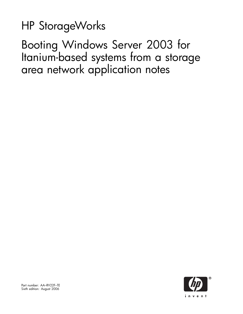# HP StorageWorks

Booting Windows Server 2003 for Itanium-based systems from a storage area network application notes

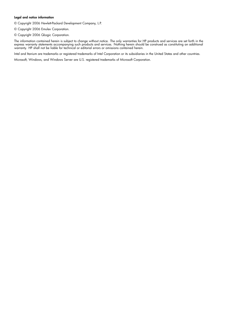#### Legal and notice information

© Copyright 2006 Hewlett-Packard Development Company, L.P.

- © Copyright 2006 Emulex Corporation.
- © Copyright 2006 QLogic Corporation.

The information contained herein is subject to change without notice. The only warranties for HP products and services are set forth in the express warranty statements accompanying such products and services. Nothing herein should be construed as constituting an additional warranty. HP shall not be liable for technical or editorial errors or omissions contained herein.

Intel and Itanium are trademarks or registered trademarks of Intel Corporation or its subsidiaries in the United States and other countries.

Microsoft, Windows, and Windows Server are U.S. registered trademarks of Microsoft Corporation.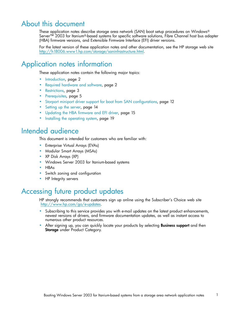## About this document

These application notes describe storage area network (SAN) boot setup procedures on Windows® Server™ 2003 for Itanium®-based systems for specific software solutions, Fibre Channel host bus adapter (HBA) firmware versions, and Extensible Firmware Interface (EFI) driver versions.

For the latest version of these application notes and other documentation, see the HP storage web site http://h18006.www1.hp.com/storage/saninfrastructure.html.

## Application notes information

These application notes contain the following major topics:

- Introduction, page 2
- Required hardware and software, page 2
- Restrictions, page 3
- Prerequisites, page 5
- Storport miniport driver support for boot from SAN configurations, page 12
- Setting up the server, page 14
- Updating the HBA firmware and EFI driver, page 15
- Installing the operating system, page 19

## Intended audience

This document is intended for customers who are familiar with:

- Enterprise Virtual Arrays (EVAs)
- Modular Smart Arrays (MSAs)
- XP Disk Arrays (XP)
- Windows Server 2003 for Itanium-based systems
- HBAs
- Switch zoning and configuration
- HP Integrity servers

## Accessing future product updates

HP strongly recommends that customers sign up online using the Subscriber's Choice web site http://www.hp.com/go/e-updates.

- Subscribing to this service provides you with e-mail updates on the latest product enhancements, newest versions of drivers, and firmware documentation updates, as well as instant access to numerous other product resources.
- After signing up, you can quickly locate your products by selecting **Business support** and then Storage under Product Category.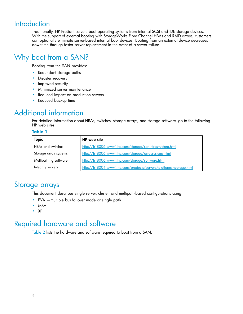## **Introduction**

Traditionally, HP ProLiant servers boot operating systems from internal SCSI and IDE storage devices. With the support of external booting with StorageWorks Fibre Channel HBAs and RAID arrays, customers can optionally eliminate server-based internal boot devices. Booting from an external device decreases downtime through faster server replacement in the event of a server failure.

## Why boot from a SAN?

Booting from the SAN provides:

- Redundant storage paths
- Disaster recovery
- Improved security
- Minimized server maintenance
- Reduced impact on production servers
- Reduced backup time

## Additional information

For detailed information about HBAs, switches, storage arrays, and storage software, go to the following HP web sites:

#### **Table 1**

| <b>Topic</b>             | HP web site                                                       |
|--------------------------|-------------------------------------------------------------------|
| <b>HBAs and switches</b> | http://h18006.www1.hp.com/storage/saninfrastructure.html          |
| Storage array systems    | http://h18006.www1.hp.com/storage/arraysystems.html               |
| Multipathing software    | http://h18006.www1.hp.com/storage/software.html                   |
| Integrity servers        | http://h18004.www1.hp.com/products/servers/platforms/storage.html |

## Storage arrays

This document describes single server, cluster, and multipath-based configurations using:

- EVA —multiple bus failover mode or single path
- MSA
- XP

## Required hardware and software

Table 2 lists the hardware and software required to boot from a SAN.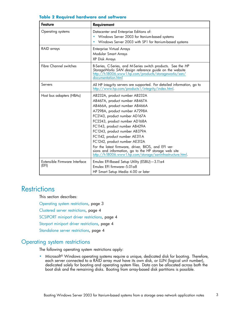| <b>Feature</b>                         | Requirement                                                                                                                                                                                                                                                                                                                                                                                                                                                                                                        |  |  |
|----------------------------------------|--------------------------------------------------------------------------------------------------------------------------------------------------------------------------------------------------------------------------------------------------------------------------------------------------------------------------------------------------------------------------------------------------------------------------------------------------------------------------------------------------------------------|--|--|
| Operating systems                      | Datacenter and Enterprise Editions of:<br>Windows Server 2003 for Itanium-based systems<br>٠<br>Windows Server 2003 with SP1 for Itanium-based systems                                                                                                                                                                                                                                                                                                                                                             |  |  |
| RAID arrays                            | <b>Enterprise Virtual Arrays</b><br>Modular Smart Arrays<br>XP Disk Arrays                                                                                                                                                                                                                                                                                                                                                                                                                                         |  |  |
| <b>Fibre Channel switches</b>          | B-Series, C-Series, and M-Series switch products. See the HP<br>StorageWorks SAN design reference guide on the website<br>http://h18006.www1.hp.com/products/storageworks/san/<br>documentation.html                                                                                                                                                                                                                                                                                                               |  |  |
| Servers                                | All HP Integrity servers are supported. For detailed information, go to<br>http://www.hp.com/products1/integrity/index.html.                                                                                                                                                                                                                                                                                                                                                                                       |  |  |
| Host bus adapters (HBAs)               | AB232A, product number AB232A<br>AB467A, product number AB467A<br>AB466A, product number AB466A<br>A7298A, product number A7298A<br>FC2143, product number AD167A<br>FC2243, product number AD168A<br>FC1143, product number AB429A<br>FC1243, product number AB379A<br>FC1142, product number AE311A<br>FC1242, product number AE312A<br>For the latest firmware, driver, BIOS, and EFI ver-<br>sions and information, go to the HP storage web site<br>http://h18006.www1.hp.com/storage/saninfrastructure.html. |  |  |
| Extensible Firmware Interface<br>(EFI) | Emulex EFI-Based Setup Utility (ESBU)-3.11 a4<br>Emulex EFI firmware-5.01 a8<br>HP Smart Setup Media 4.00 or later                                                                                                                                                                                                                                                                                                                                                                                                 |  |  |

#### **Table 2 Required hardware and software**

## **Restrictions**

This section describes:

Operating system restrictions, page 3

Clustered server restrictions, page 4

SCSIPORT miniport driver restrictions, page 4

Storport miniport driver restrictions, page 4

Standalone server restrictions, page 4

### Operating system restrictions

The following operating system restrictions apply:

• Microsoft® Windows operating systems require a unique, dedicated disk for booting. Therefore, each server connected to a RAID array must have its own disk, or LUN (logical unit number), dedicated solely for booting and operating system files. Data can be allocated across both the boot disk and the remaining disks. Booting from array-based disk partitions is possible.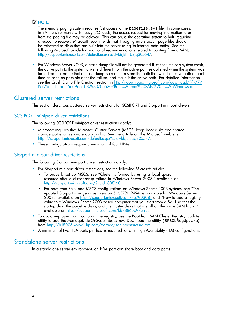### **EX NOTE:**

The memory paging system requires fast access to the  $pagefile$ . sys file. In some cases, in SAN environments with heavy I/O loads, the access request for moving information to or from the paging file may be delayed. This can cause the operating system to halt, requiring a reboot to recover. Microsoft recommends that if paging errors occur, page files should be relocated to disks that are built into the server using its internal data paths. See the following Microsoft article for additional recommendations related to booting from a SAN: http://support.microsoft.com/default.aspx?scid=kb;EN-US;q305547.

• For Windows Server 2003, a crash dump file will not be generated if, at the time of a system crash, the active path to the system drive is different from the active path established when the system was turned on. To ensure that a crash dump is created, restore the path that was the active path at boot time as soon as possible after the failure, and make it the active path. For detailed information, see the Crash Dump File Creation section in http://download.microsoft.com/download/f/9/7/ f9775acc-baa6-45cc-9dec-b82983705620/Boot%20from%20SAN%20in%20Windows.doc.

### Clustered server restrictions

This section describes clustered server restrictions for SCSIPORT and Storport miniport drivers.

### SCSIPORT miniport driver restrictions

The following SCSIPORT miniport driver restrictions apply:

- Microsoft requires that Microsoft Cluster Servers (MSCS) keep boot disks and shared storage paths on separate data paths. See the article on the Microsoft web site http://support.microsoft.com/default.aspx?scid=kb;en-us;305547.
- These configurations require a minimum of four HBAs.

### Storport miniport driver restrictions

The following Storport miniport driver restrictions apply:

- For Storport miniport driver restrictions, see the following Microsoft articles:
	- To properly set up MSCS, see "Cluster is formed by using a local quorum resource after a cluster setup failure in Windows Server 2003," available on http://support.microsoft.com/?kbid=888160.
	- For boot from SAN and MSCS configurations on Windows Server 2003 systems, see "The updated Storport storage driver, version 5.2.3790.2494, is available for Windows Server 2003," available on http://support.microsoft.com/kb/903081 and "How to add a registry value to a Windows Server 2003-based computer that you start from a SAN so that the startup disk, the pagefile disks, and the cluster disks that are all on the same SAN fabric," available on http://support.microsoft.com/kb/886569/en-us.
- To avoid improper modification of the registry, use the Boot from SAN Cluster Registry Update utility to add the ManageDisksOnSystemBuses key. Download the utility (BFSCLRegUp.exe) from http://h18006.www1.hp.com/storage/saninfrastructure.html.
- A minimum of two HBA ports per host is required for any High Availability (HA) configurations.

### Standalone server restrictions

In a standalone server environment, an HBA port can share boot and data paths.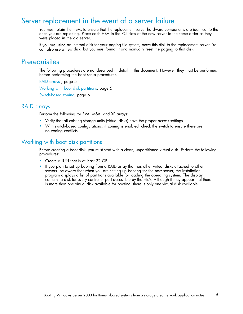## Server replacement in the event of a server failure

You must retain the HBAs to ensure that the replacement server hardware components are identical to the ones you are replacing. Place each HBA in the PCI slots of the new server in the same order as they were placed in the old server.

If you are using an internal disk for your paging file system, move this disk to the replacement server. You can also use a new disk, but you must format it and manually reset the paging to that disk.

## **Prerequisites**

The following procedures are not described in detail in this document. However, they must be performed before performing the boot setup procedures.

RAID arrays , page 5

Working with boot disk partitions, page 5

Switch-based zoning, page 6

### RAID arrays

Perform the following for EVA, MSA, and XP arrays:

- Verify that all existing storage units (virtual disks) have the proper access settings.
- With switch-based configurations, if zoning is enabled, check the switch to ensure there are no zoning conflicts.

## Working with boot disk partitions

Before creating a boot disk, you must start with a clean, unpartitioned virtual disk. Perform the following procedures:

- Create a LUN that is at least 32 GB.
- If you plan to set up booting from a RAID array that has other virtual disks attached to other servers, be aware that when you are setting up booting for the new server, the installation program displays a list of partitions available for loading the operating system. The display contains a disk for every controller port accessible by the HBA. Although it may appear that there is more than one virtual disk available for booting, there is only one virtual disk available.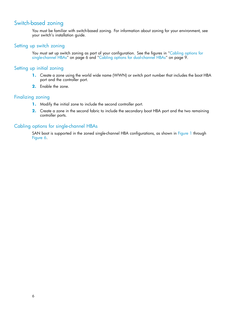## Switch-based zoning

You must be familiar with switch-based zoning. For information about zoning for your environment, see your switch's installation guide.

### Setting up switch zoning

You must set up switch zoning as part of your configuration. See the figures in "Cabling options for single-channel HBAs" on page 6 and "Cabling options for dual-channel HBAs" on page 9.

#### Setting up initial zoning

- **1.** Create a zone using the world wide name (WWN) or switch port number that includes the boot HBA port and the controller port.
- **2.** Enable the zone.

### Finalizing zoning

- **1.** Modify the initial zone to include the second controller port.
- **2.** Create a zone in the second fabric to include the secondary boot HBA port and the two remaining controller ports.

### Cabling options for single-channel HBAs

SAN boot is supported in the zoned single-channel HBA configurations, as shown in Figure 1 through Figure 6.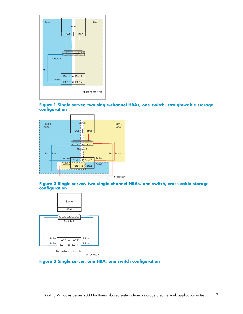

#### **Figure 1 Single server, two single-channel HBAs, one switch, straight-cable storage configuration**



#### **Figure 2 Single server, two single-channel HBAs, one switch, cross-cable storage configuration**



#### **Figure 3 Single server, one HBA, one switch configuration**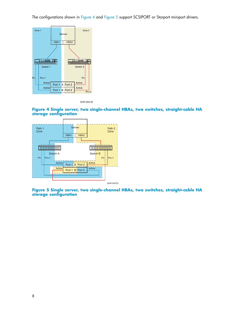The configurations shown in Figure 4 and Figure 5 support SCSIPORT or Storport miniport drivers.



SHR-2631B

**Figure 4 Single server, two single-channel HBAs, two switches, straight-cable HA storage configuration**



SHR-2427D

**Figure 5 Single server, two single-channel HBAs, two switches, straight-cable HA storage configuration**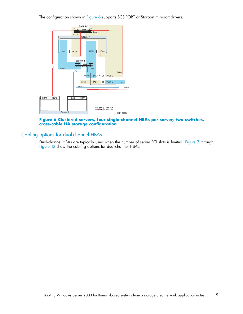The configuration shown in Figure 6 supports SCSIPORT or Storport miniport drivers.



#### **Figure 6 Clustered servers, four single-channel HBAs per server, two switches, cross-cable HA storage configuration**

## Cabling options for dual-channel HBAs

Dual-channel HBAs are typically used when the number of server PCI slots is limited. Figure 7 through Figure 12 show the cabling options for dual-channel HBAs.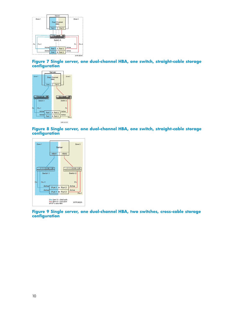

**Figure 7 Single server, one dual-channel HBA, one switch, straight-cable storage configuration**



SHR-2619C

**Figure 8 Single server, one dual-channel HBA, one switch, straight-cable storage configuration**



**Figure 9 Single server, one dual-channel HBA, two switches, cross-cable storage configuration**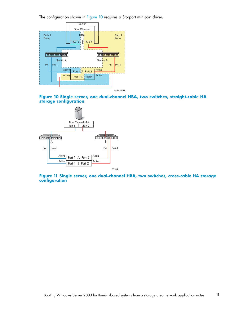The configuration shown in Figure 10 requires a Storport miniport driver.







**Figure 11 Single server, one dual-channel HBA, two switches, cross-cable HA storage configuration**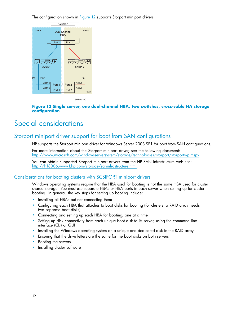The configuration shown in Figure 12 supports Storport miniport drivers.



SHR-2619C

#### **Figure 12 Single server, one dual-channel HBA, two switches, cross-cable HA storage configuration**

## Special considerations

## Storport miniport driver support for boot from SAN configurations

HP supports the Storport miniport driver for Windows Server 2003 SP1 for boot from SAN configurations.

For more information about the Storport miniport driver, see the following document: http://www.microsoft.com/windowsserversystem/storage/technologies/storport/storportwp.mspx.

You can obtain supported Storport miniport drivers from the HP SAN Infrastructure web site: http://h18006.www1.hp.com/storage/saninfrastructure.html.

### Considerations for booting clusters with SCSIPORT miniport drivers

Windows operating systems require that the HBA used for booting is not the same HBA used for cluster shared storage. You must use separate HBAs or HBA ports in each server when setting up for cluster booting. In general, the key steps for setting up booting include:

- Installing all HBAs but not connecting them
- Configuring each HBA that attaches to boot disks for booting (for clusters, a RAID array needs two separate boot disks)
- Connecting and setting up each HBA for booting, one at a time
- Setting up disk connectivity from each unique boot disk to its server, using the command line interface (CLI) or GUI
- Installing the Windows operating system on a unique and dedicated disk in the RAID array
- Ensuring that the drive letters are the same for the boot disks on both servers
- Booting the servers
- Installing cluster software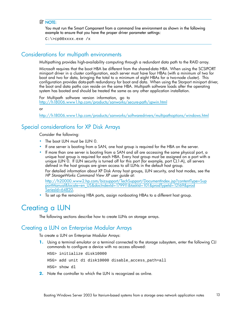#### **EX NOTE:**

You must run the Smart Component from a command line environment as shown in the following example to ensure that you have the proper driver parameter settings:

C:\>cp00xxxx.exe /x

## Considerations for multipath environments

Multipathing provides high-availability computing through a redundant data path to the RAID array.

Microsoft requires that the boot HBA be different from the shared-data HBA. When using the SCSIPORT miniport driver in a cluster configuration, each server must have four HBAs (with a minimum of two for boot and two for data, bringing the total to a minimum of eight HBAs for a two-node cluster). This configuration provides data-path redundancy for boot and data. When using the Storport miniport driver, the boot and data paths can reside on the same HBA. Multipath software loads after the operating system has booted and should be treated the same as any other application installation.

For Multipath software version information, go to http://h18006.www1.hp.com/products/sanworks/secure-path/spwin.html

or

http://h18006.www1.hp.com/products/sanworks/softwaredrivers/multipathoptions/windows.html

## Special considerations for XP Disk Arrays

Consider the following:

- The boot LUN must be LUN 0.
- If one server is booting from a SAN, one host group is required for the HBA on the server.
- If more than one server is booting from a SAN and all are accessing the same physical port, a unique host group is required for each HBA. Every host group must be assigned on a port with a unique LUN 0. If LUN security is turned off for this port (for example, port CL1-A), all servers defined in the host groups are given access to all LUNs in the default host group.

For detailed information about XP Disk Array host groups, LUN security, and host modes, see the *HP StorageWorks Command View XP user guide* at:

http://h20000.www2.hp.com/bizsupport/TechSupport/DocumentIndex.jsp?contentType=Sup portManual&locale=en\_US&docIndexId=179911&taskId=101&prodTypeId=12169&prod SeriesId=64820.

• To set up the remaining HBA ports, assign nonbooting HBAs to a different host group.

## Creating a LUN

The following sections describe how to create LUNs on storage arrays.

### Creating a LUN on Enterprise Modular Arrays

To create a LUN on Enterprise Modular Arrays:

**1.** Using a terminal emulator or a terminal connected to the storage subsystem, enter the following CLI commands to configure a device with no access allowed:

HSG> initialize disk10000 HSG> add unit d1 disk10000 disable\_access\_path=all HSG> show dl

**2.** Note the controller to which the LUN is recognized as online.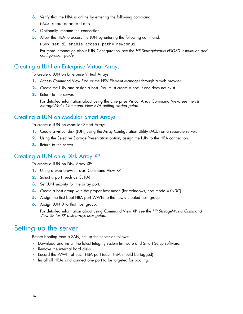**3.** Verify that the HBA is online by entering the following command:

HSG> show connections

- **4.** Optionally, rename the connection.
- **5.** Allow the HBA to access the LUN by entering the following command:

HSG> set dl enable\_access\_path=!newcon01

For more information about LUN Configuration, see the *HP StorageWorks HSG80 installation and configuration guide*.

## Creating a LUN on Enterprise Virtual Arrays

To create a LUN on Enterprise Virtual Arrays:

- **1.** Access Command View EVA or the HSV Element Manager through a web browser.
- **2.** Create the LUN and assign a host. You must create a host if one does not exist.
- **3.** Return to the server.

For detailed information about using the Enterprise Virtual Array Command View, see the *HP StorageWorks Command View EVA getting started guide*.

## Creating a LUN on Modular Smart Arrays

To create a LUN on Modular Smart Arrays:

- **1.** Create a virtual disk (LUN) using the Array Configuration Utility (ACU) on a separate server.
- **2.** Using the Selective Storage Presentation option, assign the LUN to the HBA connection.
- **3.** Return to the server.

## Creating a LUN on a Disk Array XP

To create a LUN on Disk Array XP:

- **1.** Using a web browser, start Command View XP.
- **2.** Select a port (such as CL1-A).
- **3.** Set LUN security for the array port.
- **4.** Create a host group with the proper host mode (for Windows, host mode  $= 0x0C$ ).
- **5.** Assign the first boot HBA port WWN to the newly created host group.
- **6.** Assign LUN 0 to that host group.

For detailed information about using Command View XP, see the *HP StorageWorks Command View XP for XP disk arrays user guide*.

## Setting up the server

Before booting from a SAN, set up the server as follows:

- Download and install the latest Integrity system firmware and Smart Setup software.
- Remove the internal hard disks.
- Record the WWN of each HBA port (each HBA should be tagged).
- Install all HBAs and connect one port to be targeted for booting.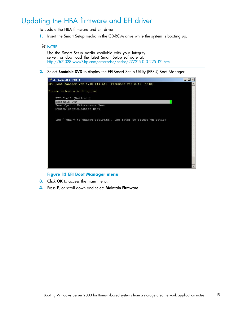## Updating the HBA firmware and EFI driver

To update the HBA firmware and EFI driver:

**1.** Insert the Smart Setup media in the CD-ROM drive while the system is booting up.

#### **EX NOTE:**

Use the Smart Setup media available with your Integrity server, or download the latest Smart Setup software at: http://h71028.www7.hp.com/enterprise/cache/277215-0-0-225-121.html.

**2.** Select Bootable DVD to display the EFI-Based Setup Utility (EBSU) Boot Manager.



#### **Figure 13 EFI Boot Manager menu**

- **3.** Click OK to access the main menu.
- **4.** Press F, or scroll down and select Maintain Firmware.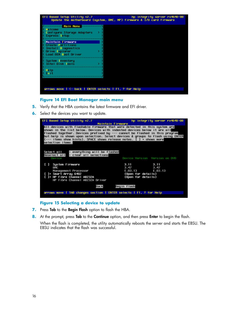

#### **Figure 14 EFI Boot Manager main menu**

- **5.** Verify that the HBA contains the latest firmware and EFI driver.
- **6.** Select the devices you want to update.



**Figure 15 Selecting a device to update**

- **7.** Press Tab to the Begin Flash option to flash the HBA.
- **8.** At the prompt, press **Tab** to the **Continue** option, and then press **Enter** to begin the flash.

When the flash is completed, the utility automatically reboots the server and starts the EBSU. The EBSU indicates that the flash was successful.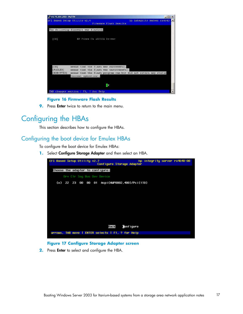| 15.75.201.253 - PuTTY        |                                                                                       |                            | $ \Box$ |
|------------------------------|---------------------------------------------------------------------------------------|----------------------------|---------|
| EFI Based Setup Utility VZ.4 | Firmware Flash Results                                                                | hp integrity server rx4640 |         |
|                              | The following firmware was flashed:                                                   |                            |         |
| [OK]                         | HP Fibre Ch 1B232A Driver                                                             |                            |         |
|                              |                                                                                       |                            |         |
|                              |                                                                                       |                            |         |
|                              |                                                                                       |                            |         |
| [OK]<br>[FAILED]             | means that the flash was successful.<br>means that the flash was unsuccessful.        |                            |         |
| [EXECUTED]                   | means that the flash program ran but did not return any status<br>(normal operation). |                            |         |
|                              |                                                                                       |                            |         |
|                              | ŌК<br>TAB changes section   F1, ? for Help                                            |                            |         |
|                              |                                                                                       |                            |         |

#### **Figure 16 Firmware Flash Results**

**9.** Press **Enter** twice to return to the main menu.

## Configuring the HBAs

This section describes how to configure the HBAs.

## Configuring the boot device for Emulex HBAs

To configure the boot device for Emulex HBAs:

**1.** Select Configure Storage Adapter and then select an HBA.



#### **Figure 17 Configure Storage Adapter screen**

**2.** Press Enter to select and configure the HBA.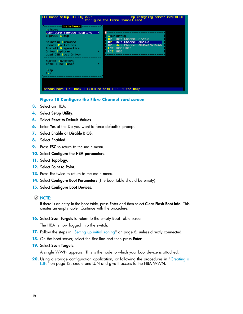

#### **Figure 18 Configure the Fibre Channel card screen**

- **3.** Select an HBA.
- **4.** Select Setup Utility.
- **5.** Select Reset to Default Values.
- **6.** Enter Yes at the Do you want to force defaults? prompt.
- **7.** Select Enable or Disable BIOS.
- **8.** Select Enabled.
- **9.** Press **ESC** to return to the main menu.
- **10.** Select Configure the HBA parameters.
- **11.** Select Topology.
- **12.** Select Point to Point.
- **13.** Press Esc twice to return to the main menu.
- 14. Select **Configure Boot Parameters** (The boot table should be empty).
- **15.** Select Configure Boot Devices.

#### **E** NOTE:

If there is an entry in the boot table, press Enter and then select Clear Flash Boot Info. This creates an empty table. Continue with the procedure.

**16.** Select **Scan Targets** to return to the empty Boot Table screen.

The HBA is now logged into the switch.

- **17.** Follow the steps in "Setting up initial zoning" on page 6, unless directly connected.
- **18.** On the boot server, select the first line and then press **Enter**.
- **19.** Select Scan Targets.

A single WWN appears. This is the node to which your boot device is attached.

**20.** Using a storage configuration application, or following the procedures in "Creating a LUN" on page 13, create one LUN and give it access to the HBA WWN.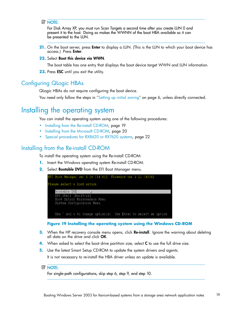#### **E** NOTE:

For Disk Array XP, you must run Scan Targets a second time after you create LUN 0 and present it to the host. Doing so makes the WWNN of the boot HBA available so it can be presented to the LUN.

- **21.** On the boot server, press Enter to display a LUN. (This is the LUN to which your boot device has access.) Press Enter.
- **22.** Select Boot this device via WWN.

The boot table has one entry that displays the boot device target WWN and LUN information.

23. Press **ESC** until you exit the utility.

### Configuring QLogic HBAs

QLogic HBAs do not require configuring the boot device.

You need only follow the steps in "Setting up initial zoning" on page 6, unless directly connected.

## Installing the operating system

You can install the operating system using one of the following procedures:

- Installing from the Re-install CD-ROM, page 19
- Installing from the Microsoft CD-ROM, page 20
- Special procedures for RX8620 or RX7620 systems, page 22

### Installing from the Re-install CD-ROM

To install the operating system using the Re-install CD-ROM:

- **1.** Insert the Windows operating system Re-install CD-ROM.
- **2.** Select Bootable DVD from the EFI Boot Manager menu.



**Figure 19 Installing the operating system using the Windows CD-ROM**

- **3.** When the HP recovery console menu opens, click Re-install. Ignore the warning about deleting all data on the drive and click OK.
- **4.** When asked to select the boot drive partition size, select **C** to use the full drive size.
- **5.** Use the latest Smart Setup CD-ROM to update the system drivers and agents.

It is not necessary to re-install the HBA driver unless an update is available.

#### li<sup>2</sup> NOTE:

For single-path configurations, skip step 6, step 9, and step 10.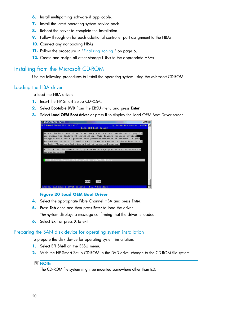- **6.** Install multipathing software if applicable.
- **7.** Install the latest operating system service pack.
- **8.** Reboot the server to complete the installation.
- **9.** Follow through on for each additional controller port assignment to the HBAs.
- **10.** Connect any nonbooting HBAs.
- **11.** Follow the procedure in "Finalizing zoning " on page 6.
- **12.** Create and assign all other storage LUNs to the appropriate HBAs.

## Installing from the Microsoft CD-ROM

Use the following procedures to install the operating system using the Microsoft CD-ROM.

#### Loading the HBA driver

To load the HBA driver:

- **1.** Insert the HP Smart Setup CD-ROM.
- **2.** Select Bootable DVD from the EBSU menu and press Enter.
- **3.** Select Load OEM Boot driver or press B to display the Load OEM Boot Driver screen.

| £ 15.75.201.207 - PuTTY                                                                                                                                                                                                                                                                                                                                                    |                            | $ \Box$ $\times$ |
|----------------------------------------------------------------------------------------------------------------------------------------------------------------------------------------------------------------------------------------------------------------------------------------------------------------------------------------------------------------------------|----------------------------|------------------|
| EFI Based Setup Utility v2.5                                                                                                                                                                                                                                                                                                                                               | hp integrity server rx5670 |                  |
| Load OEN Boot Driver                                                                                                                                                                                                                                                                                                                                                       |                            |                  |
| Select the boot controller driver to place on a ramdisk/virtual floppy for<br>use during the Uindows OS installation. This feature replaces physical<br>floppy disks & the F6 process from previous versions of Windows. If your<br>desired device is not listed then it is not connected or the driver is not<br>needed. Please see help for a list of supported devices. |                            |                  |
| NOTE: After choosing a card, you cannot change your selection unless the<br>system is reset.                                                                                                                                                                                                                                                                               |                            |                  |
| () HP Fibre Channel A7298A, AB232A, AB467A, AB466A                                                                                                                                                                                                                                                                                                                         |                            |                  |
|                                                                                                                                                                                                                                                                                                                                                                            |                            |                  |
| Back<br>Load                                                                                                                                                                                                                                                                                                                                                               |                            |                  |
| arrows, TAB move   ENTER selects   F1, ? for Help                                                                                                                                                                                                                                                                                                                          |                            |                  |

#### **Figure 20 Load OEM Boot Driver**

- **4.** Select the appropriate Fibre Channel HBA and press Enter.
- **5.** Press Tab once and then press Enter to load the driver.

The system displays a message confirming that the driver is loaded.

**6.** Select **Exit** or press **X** to exit.

### Preparing the SAN disk device for operating system installation

To prepare the disk device for operating system installation:

- **1.** Select **EFI Shell** on the EBSU menu.
- **2.** With the HP Smart Setup CD-ROM in the DVD drive, change to the CD-ROM file system.

#### **E** NOTE:

The CD-ROM file system might be mounted somewhere other than fs0.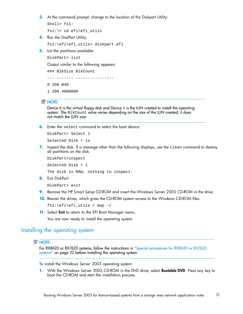**3.** At the command prompt, change to the location of the Diskpart Utility:

```
Shell> fs1:
```
fs1:\> cd efi\efi\_utils

**4.** Run the DiskPart Utility:

fs1:\efi\efi\_utils> diskpart.efi

**5.** List the partitions available:

DiskPart> list

Output similar to the following appears:

```
--- ------- ----------------
### BlkSize BlkCount
0 200 B40
1 200 4800000
```
#### **EX NOTE:**

Device 0 is the virtual floppy disk and Device 1 is the LUN created to install the operating system. The BlkCount value varies depending on the size of the LUN created; it does not match the LUN size.

**6.** Enter the select command to select the boot device:

```
DiskPart> Select 1
```
Selected Disk = 1s

**7.** Inspect the disk. If a message other than the following displays, use the clean command to destroy all partitions on the disk.

DiskPart>inspect Selected Disk = 1 The disk is RAW, nothing to inspect.

**8.** Exit DiskPart:

DiskPart> exit

- **9.** Remove the HP Smart Setup CD-ROM and insert the Windows Server 2003 CD-ROM in the drive.
- **10.** Rescan the drives, which gives the CD-ROM system access to the Windows CD-ROM files.

fs1:\efi\efi\_utils > map –r

**11.** Select Exit to return to the EFI Boot Manager menu.

You are now ready to install the operating system.

### Installing the operating system

#### li<sup>2</sup> NOTE:

For RX8620 or RX7620 systems, follow the instructions in "Special procedures for RX8620 or RX7620 systems" on page 22 before installing the operating system.

To install the Windows Server 2003 operating system:

**1.** With the Windows Server 2003 CD-ROM in the DVD drive, select Bootable DVD. Press any key to boot the CD-ROM and start the installation process.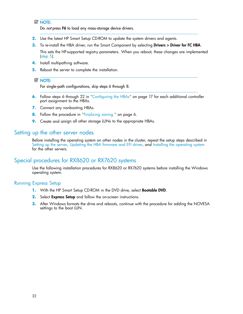#### **E** NOTE:

Do not press F6 to load any mass-storage device drivers.

- **2.** Use the latest HP Smart Setup CD-ROM to update the system drivers and agents.
- **3.** To re-install the HBA driver, run the Smart Component by selecting **Drivers > Driver for FC HBA**. This sets the HP-supported registry parameters. When you reboot, these changes are implemented (step 5).
- **4.** Install multipathing software.
- **5.** Reboot the server to complete the installation.

#### **E** NOTE:

For single-path configurations, skip steps 6 through 8.

- **6.** Follow steps 6 through 22 in "Configuring the HBAs" on page 17 for each additional controller port assignment to the HBAs.
- **7.** Connect any nonbooting HBAs.
- **8.** Follow the procedure in "Finalizing zoning " on page 6.
- **9.** Create and assign all other storage LUNs to the appropriate HBAs.

### Setting up the other server nodes

Before installing the operating system on other nodes in the cluster, repeat the setup steps described in Setting up the server, Updating the HBA firmware and EFI driver, and Installing the operating system for the other servers.

## Special procedures for RX8620 or RX7620 systems

Use the following installation procedures for RX8620 or RX7620 systems before installing the Windows operating system.

#### Running Express Setup

- **1.** With the HP Smart Setup CD-ROM in the DVD drive, select Bootable DVD.
- **2.** Select Express Setup and follow the on-screen instructions.
- **3.** After Windows formats the drive and reboots, continue with the procedure for adding the NOVESA settings to the boot LUN.